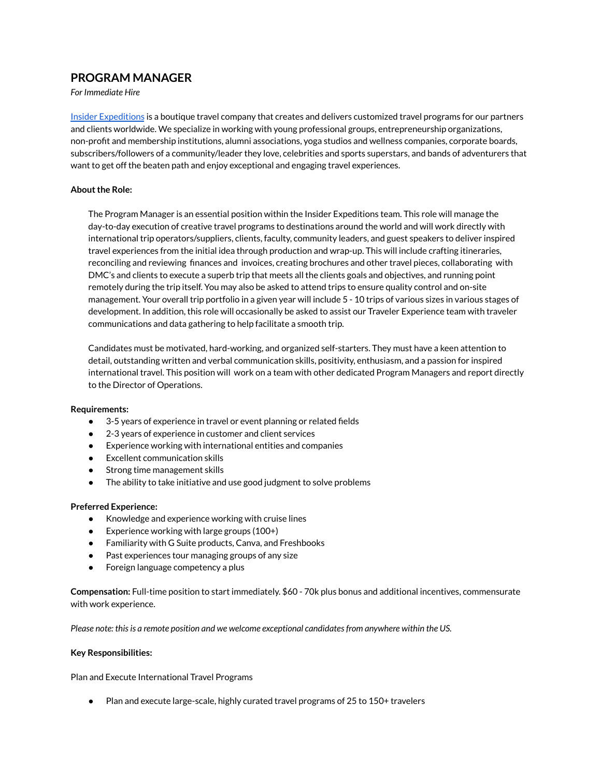# **PROGRAM MANAGER**

*For Immediate Hire*

Insider [Expeditions](https://insiderexpeditions.com/) is a boutique travel company that creates and delivers customized travel programs for our partners and clients worldwide. We specialize in working with young professional groups, entrepreneurship organizations, non-profit and membership institutions, alumni associations, yoga studios and wellness companies, corporate boards, subscribers/followers of a community/leader they love, celebrities and sports superstars, and bands of adventurers that want to get off the beaten path and enjoy exceptional and engaging travel experiences.

### **About the Role:**

The Program Manager is an essential position within the Insider Expeditions team. This role will manage the day-to-day execution of creative travel programs to destinations around the world and will work directly with international trip operators/suppliers, clients, faculty, community leaders, and guest speakers to deliver inspired travel experiences from the initial idea through production and wrap-up. This will include crafting itineraries, reconciling and reviewing finances and invoices, creating brochures and other travel pieces, collaborating with DMC's and clients to execute a superb trip that meets all the clients goals and objectives, and running point remotely during the trip itself. You may also be asked to attend trips to ensure quality control and on-site management. Your overall trip portfolio in a given year will include 5 - 10 trips of various sizes in various stages of development. In addition, this role will occasionally be asked to assist our Traveler Experience team with traveler communications and data gathering to help facilitate a smooth trip.

Candidates must be motivated, hard-working, and organized self-starters. They must have a keen attention to detail, outstanding written and verbal communication skills, positivity, enthusiasm, and a passion for inspired international travel. This position will work on a team with other dedicated Program Managers and report directly to the Director of Operations.

#### **Requirements:**

- 3-5 years of experience in travel or event planning or related fields
- 2-3 years of experience in customer and client services
- Experience working with international entities and companies
- Excellent communication skills
- Strong time management skills
- The ability to take initiative and use good judgment to solve problems

#### **Preferred Experience:**

- **●** Knowledge and experience working with cruise lines
- $\bullet$  Experience working with large groups (100+)
- **●** Familiarity with G Suite products, Canva, and Freshbooks
- Past experiences tour managing groups of any size
- Foreign language competency a plus

**Compensation:** Full-time position to start immediately. \$60 - 70k plus bonus and additional incentives, commensurate with work experience.

*Please note: thisis a remote position and we welcome exceptional candidatesfrom anywhere within the US.*

#### **Key Responsibilities:**

Plan and Execute International Travel Programs

Plan and execute large-scale, highly curated travel programs of 25 to 150+ travelers